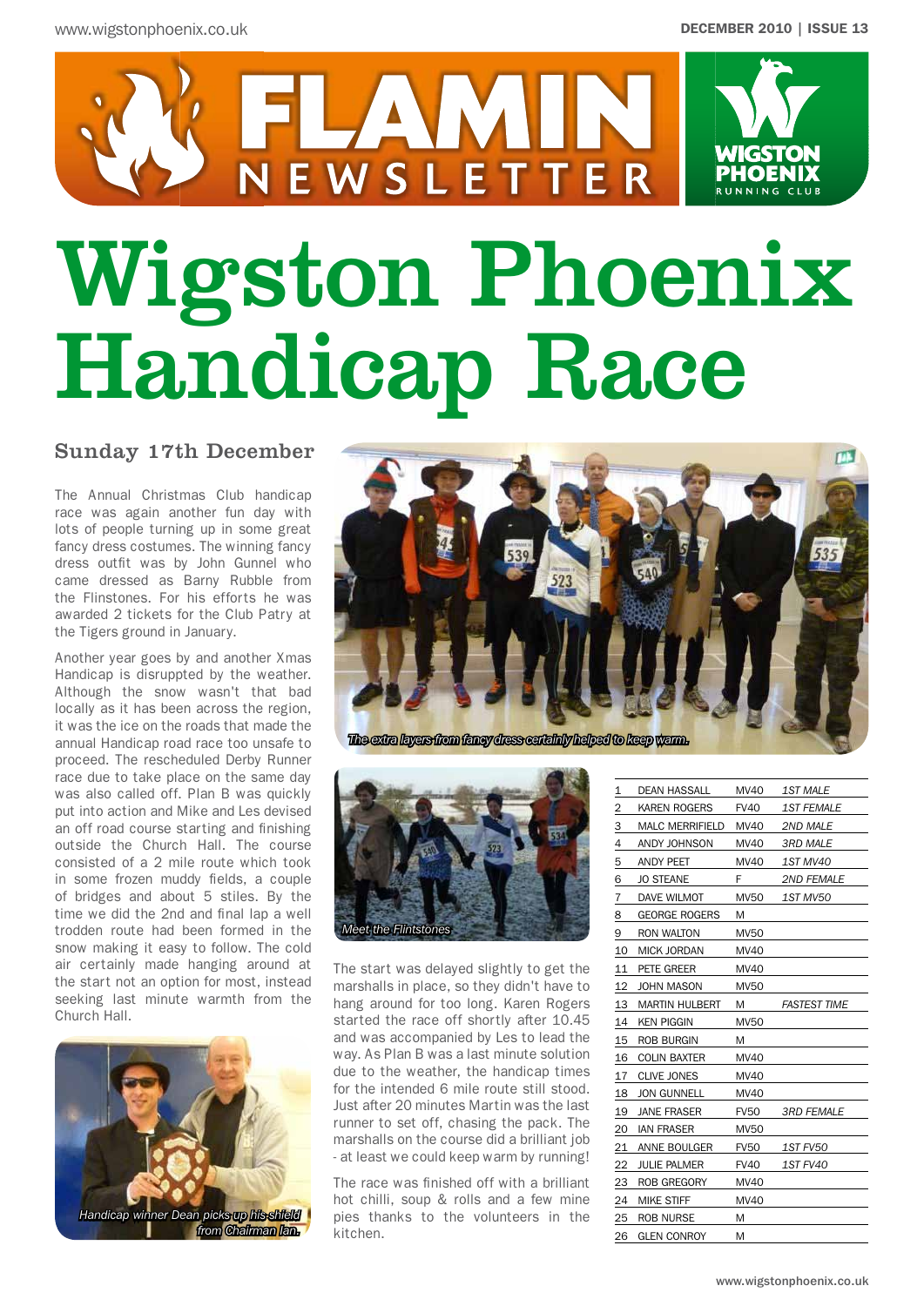

# Wigston Phoenix Handicap Race

## Sunday 17th December

The Annual Christmas Club handicap race was again another fun day with lots of people turning up in some great fancy dress costumes. The winning fancy dress outfit was by John Gunnel who came dressed as Barny Rubble from the Flinstones. For his efforts he was awarded 2 tickets for the Club Patry at the Tigers ground in January.

Another year goes by and another Xmas Handicap is disruppted by the weather. Although the snow wasn't that bad locally as it has been across the region, it was the ice on the roads that made the annual Handicap road race too unsafe to proceed. The rescheduled Derby Runner race due to take place on the same day was also called off. Plan B was quickly put into action and Mike and Les devised an off road course starting and finishing outside the Church Hall. The course consisted of a 2 mile route which took in some frozen muddy fields, a couple of bridges and about 5 stiles. By the time we did the 2nd and final lap a well trodden route had been formed in the snow making it easy to follow. The cold air certainly made hanging around at the start not an option for most, instead seeking last minute warmth from the Church Hall.







The start was delayed slightly to get the marshalls in place, so they didn't have to hang around for too long. Karen Rogers started the race off shortly after 10.45 and was accompanied by Les to lead the way. As Plan B was a last minute solution due to the weather, the handicap times for the intended 6 mile route still stood. Just after 20 minutes Martin was the last runner to set off, chasing the pack. The marshalls on the course did a brilliant job - at least we could keep warm by running!

The race was finished off with a brilliant hot chilli, soup & rolls and a few mine pies thanks to the volunteers in the kitchen.

| 1  | <b>DEAN HASSALL</b>    | <b>MV40</b> | <b>1ST MALE</b>     |
|----|------------------------|-------------|---------------------|
| 2  | KAREN ROGERS           | <b>FV40</b> | <i>1ST FEMALE</i>   |
| З  | <b>MALC MERRIFIELD</b> | MV40        | 2ND MALE            |
| 4  | ANDY JOHNSON           | MV40        | <i>3RD MALE</i>     |
| 5  | ANDY PEET              | MV40        | 1ST MV40            |
| 6  | <b>JO STEANE</b>       | F           | <b>2ND FEMALE</b>   |
| 7  | DAVE WILMOT            | <b>MV50</b> | 1ST MV50            |
| 8  | <b>GEORGE ROGERS</b>   | Μ           |                     |
| 9  | RON WALTON             | <b>MV50</b> |                     |
| 10 | MICK JORDAN            | MV40        |                     |
| 11 | PETE GREER             | MV40        |                     |
| 12 | JOHN MASON             | <b>MV50</b> |                     |
| 13 | <b>MARTIN HULBERT</b>  | M           | <b>FASTEST TIME</b> |
| 14 | <b>KEN PIGGIN</b>      | <b>MV50</b> |                     |
| 15 | ROB BURGIN             | Μ           |                     |
| 16 | <b>COLIN BAXTER</b>    | MV40        |                     |
| 17 | <b>CLIVE JONES</b>     | MV40        |                     |
| 18 | <b>JON GUNNELL</b>     | MV40        |                     |
| 19 | <b>JANE FRASER</b>     | <b>FV50</b> | <b>3RD FEMALE</b>   |
| 20 | <b>IAN FRASER</b>      | <b>MV50</b> |                     |
| 21 | ANNE BOULGER           | <b>FV50</b> | <i>1ST FV50</i>     |
| 22 | JULIE PALMER           | <b>FV40</b> | 1ST FV40            |
| 23 | ROB GREGORY            | MV40        |                     |
| 24 | <b>MIKE STIFF</b>      | MV40        |                     |
| 25 | <b>ROB NURSE</b>       | M           |                     |
| 26 | <b>GLEN CONROY</b>     | M           |                     |
|    |                        |             |                     |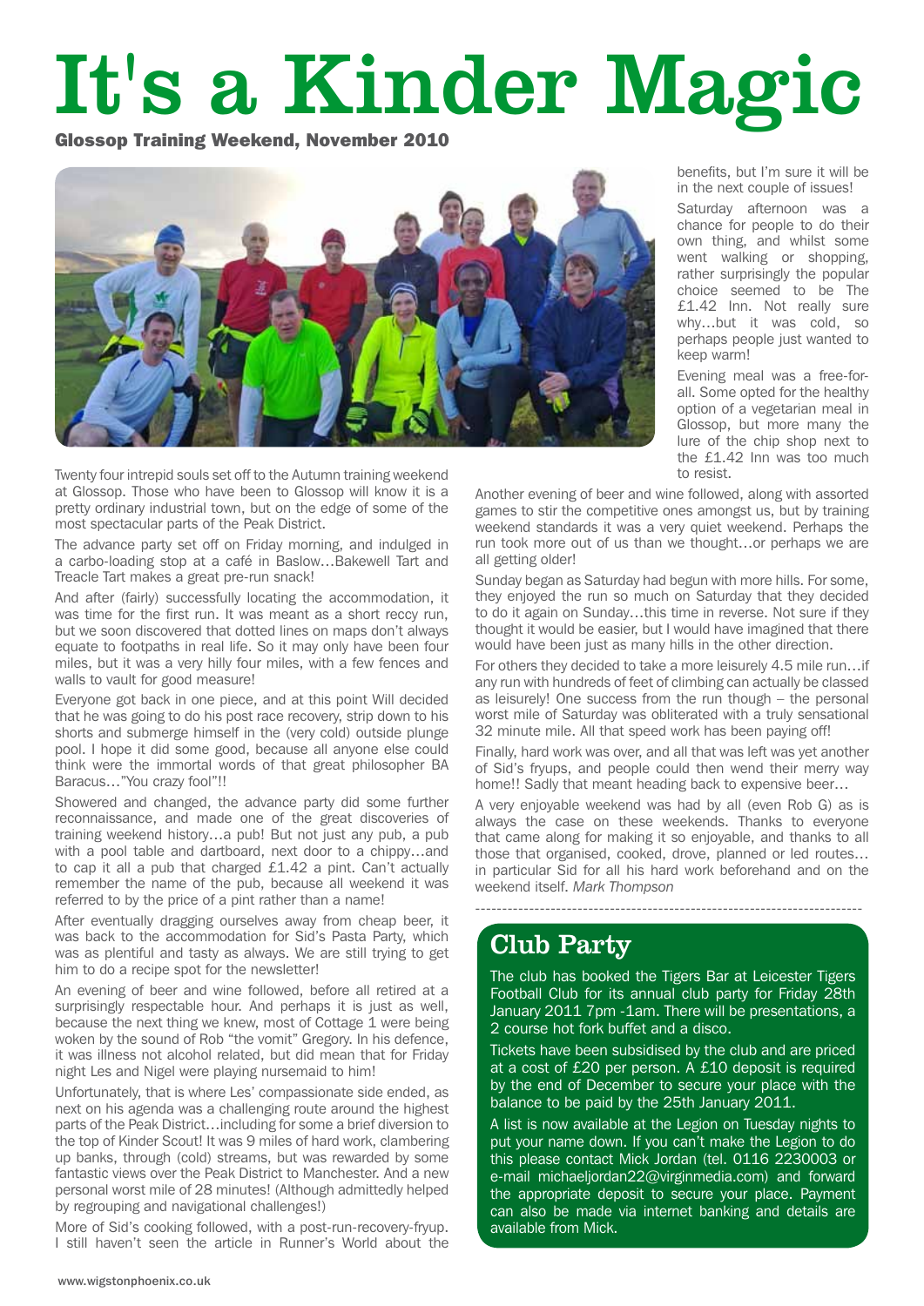## It's a Kinder Magic

Glossop Training Weekend, November 2010



Twenty four intrepid souls set off to the Autumn training weekend at Glossop. Those who have been to Glossop will know it is a pretty ordinary industrial town, but on the edge of some of the most spectacular parts of the Peak District.

The advance party set off on Friday morning, and indulged in a carbo-loading stop at a café in Baslow…Bakewell Tart and Treacle Tart makes a great pre-run snack!

And after (fairly) successfully locating the accommodation, it was time for the first run. It was meant as a short reccy run, but we soon discovered that dotted lines on maps don't always equate to footpaths in real life. So it may only have been four miles, but it was a very hilly four miles, with a few fences and walls to vault for good measure!

Everyone got back in one piece, and at this point Will decided that he was going to do his post race recovery, strip down to his shorts and submerge himself in the (very cold) outside plunge pool. I hope it did some good, because all anyone else could think were the immortal words of that great philosopher BA Baracus…"You crazy fool"!!

Showered and changed, the advance party did some further reconnaissance, and made one of the great discoveries of training weekend history…a pub! But not just any pub, a pub with a pool table and dartboard, next door to a chippy…and to cap it all a pub that charged £1.42 a pint. Can't actually remember the name of the pub, because all weekend it was referred to by the price of a pint rather than a name!

After eventually dragging ourselves away from cheap beer, it was back to the accommodation for Sid's Pasta Party, which was as plentiful and tasty as always. We are still trying to get him to do a recipe spot for the newsletter!

An evening of beer and wine followed, before all retired at a surprisingly respectable hour. And perhaps it is just as well, because the next thing we knew, most of Cottage 1 were being woken by the sound of Rob "the vomit" Gregory. In his defence, it was illness not alcohol related, but did mean that for Friday night Les and Nigel were playing nursemaid to him!

Unfortunately, that is where Les' compassionate side ended, as next on his agenda was a challenging route around the highest parts of the Peak District…including for some a brief diversion to the top of Kinder Scout! It was 9 miles of hard work, clambering up banks, through (cold) streams, but was rewarded by some fantastic views over the Peak District to Manchester. And a new personal worst mile of 28 minutes! (Although admittedly helped by regrouping and navigational challenges!)

More of Sid's cooking followed, with a post-run-recovery-fryup. I still haven't seen the article in Runner's World about the benefits, but I'm sure it will be in the next couple of issues!

Saturday afternoon was a chance for people to do their own thing, and whilst some went walking or shopping, rather surprisingly the popular choice seemed to be The £1.42 Inn. Not really sure why…but it was cold, so perhaps people just wanted to keep warm!

Evening meal was a free-forall. Some opted for the healthy option of a vegetarian meal in Glossop, but more many the lure of the chip shop next to the £1.42 Inn was too much to resist.

Another evening of beer and wine followed, along with assorted games to stir the competitive ones amongst us, but by training weekend standards it was a very quiet weekend. Perhaps the run took more out of us than we thought…or perhaps we are all getting older!

Sunday began as Saturday had begun with more hills. For some, they enjoyed the run so much on Saturday that they decided to do it again on Sunday…this time in reverse. Not sure if they thought it would be easier, but I would have imagined that there would have been just as many hills in the other direction.

For others they decided to take a more leisurely 4.5 mile run…if any run with hundreds of feet of climbing can actually be classed as leisurely! One success from the run though – the personal worst mile of Saturday was obliterated with a truly sensational 32 minute mile. All that speed work has been paying off!

Finally, hard work was over, and all that was left was yet another of Sid's fryups, and people could then wend their merry way home!! Sadly that meant heading back to expensive beer…

A very enjoyable weekend was had by all (even Rob G) as is always the case on these weekends. Thanks to everyone that came along for making it so enjoyable, and thanks to all those that organised, cooked, drove, planned or led routes… in particular Sid for all his hard work beforehand and on the weekend itself. *Mark Thompson*

------------------------------------------------------------------------

## Club Party

The club has booked the Tigers Bar at Leicester Tigers Football Club for its annual club party for Friday 28th January 2011 7pm -1am. There will be presentations, a 2 course hot fork buffet and a disco.

Tickets have been subsidised by the club and are priced at a cost of £20 per person. A £10 deposit is required by the end of December to secure your place with the balance to be paid by the 25th January 2011.

A list is now available at the Legion on Tuesday nights to put your name down. If you can't make the Legion to do this please contact Mick Jordan (tel. 0116 2230003 or e-mail michaeljordan22@virginmedia.com) and forward the appropriate deposit to secure your place. Payment can also be made via internet banking and details are available from Mick.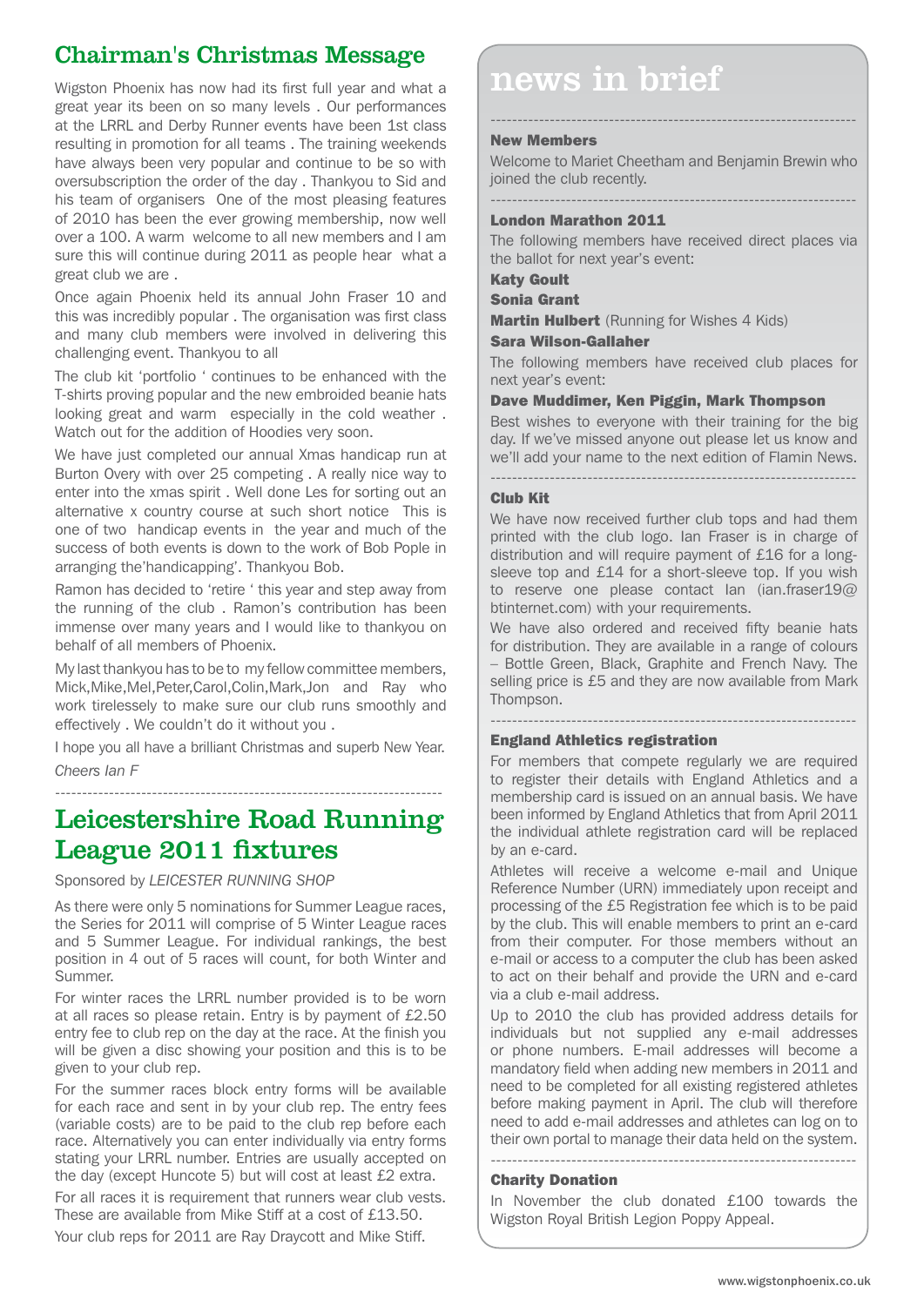## Chairman's Christmas Message

great year its been on so many levels . Our performances at the LRRL and Derby Runner events have been 1st class resulting in promotion for all teams . The training weekends have always been very popular and continue to be so with oversubscription the order of the day . Thankyou to Sid and his team of organisers One of the most pleasing features of 2010 has been the ever growing membership, now well over a 100. A warm welcome to all new members and I am sure this will continue during 2011 as people hear what a great club we are .

Once again Phoenix held its annual John Fraser 10 and this was incredibly popular . The organisation was first class and many club members were involved in delivering this challenging event. Thankyou to all

The club kit 'portfolio ' continues to be enhanced with the T-shirts proving popular and the new embroided beanie hats looking great and warm especially in the cold weather . Watch out for the addition of Hoodies very soon.

We have just completed our annual Xmas handicap run at Burton Overy with over 25 competing . A really nice way to enter into the xmas spirit . Well done Les for sorting out an alternative x country course at such short notice This is one of two handicap events in the year and much of the success of both events is down to the work of Bob Pople in arranging the'handicapping'. Thankyou Bob.

Ramon has decided to 'retire ' this year and step away from the running of the club . Ramon's contribution has been immense over many years and I would like to thankyou on behalf of all members of Phoenix.

My last thankyou has to be to my fellow committee members, Mick,Mike,Mel,Peter,Carol,Colin,Mark,Jon and Ray who work tirelessely to make sure our club runs smoothly and effectively . We couldn't do it without you .

I hope you all have a brilliant Christmas and superb New Year. *Cheers Ian F*

#### ------------------------------------------------------------------------

## Leicestershire Road Running League 2011 fixtures

Sponsored by *LEICESTER RUNNING SHOP*

As there were only 5 nominations for Summer League races, the Series for 2011 will comprise of 5 Winter League races and 5 Summer League. For individual rankings, the best position in 4 out of 5 races will count, for both Winter and Summer.

For winter races the LRRL number provided is to be worn at all races so please retain. Entry is by payment of £2.50 entry fee to club rep on the day at the race. At the finish you will be given a disc showing your position and this is to be given to your club rep.

For the summer races block entry forms will be available for each race and sent in by your club rep. The entry fees (variable costs) are to be paid to the club rep before each race. Alternatively you can enter individually via entry forms stating your LRRL number. Entries are usually accepted on the day (except Huncote 5) but will cost at least £2 extra.

For all races it is requirement that runners wear club vests. These are available from Mike Stiff at a cost of £13.50.

Your club reps for 2011 are Ray Draycott and Mike Stiff.

## Wigston Phoenix has now had its first full year and what a  $\blacksquare$  news in brief

## New Members

Welcome to Mariet Cheetham and Benjamin Brewin who joined the club recently.

--------------------------------------------------------------------

#### -------------------------------------------------------------------- London Marathon 2011

The following members have received direct places via the ballot for next year's event:

### Katy Goult

Sonia Grant

**Martin Hulbert** (Running for Wishes 4 Kids)

## Sara Wilson-Gallaher

The following members have received club places for next year's event:

## Dave Muddimer, Ken Piggin, Mark Thompson

Best wishes to everyone with their training for the big day. If we've missed anyone out please let us know and we'll add your name to the next edition of Flamin News.

--------------------------------------------------------------------

## Club Kit

We have now received further club tops and had them printed with the club logo. Ian Fraser is in charge of distribution and will require payment of £16 for a longsleeve top and £14 for a short-sleeve top. If you wish to reserve one please contact Ian (ian.fraser19@ btinternet.com) with your requirements.

We have also ordered and received fifty beanie hats for distribution. They are available in a range of colours – Bottle Green, Black, Graphite and French Navy. The selling price is £5 and they are now available from Mark Thompson.

--------------------------------------------------------------------

## England Athletics registration

For members that compete regularly we are required to register their details with England Athletics and a membership card is issued on an annual basis. We have been informed by England Athletics that from April 2011 the individual athlete registration card will be replaced by an e-card.

Athletes will receive a welcome e-mail and Unique Reference Number (URN) immediately upon receipt and processing of the £5 Registration fee which is to be paid by the club. This will enable members to print an e-card from their computer. For those members without an e-mail or access to a computer the club has been asked to act on their behalf and provide the URN and e-card via a club e-mail address.

Up to 2010 the club has provided address details for individuals but not supplied any e-mail addresses or phone numbers. E-mail addresses will become a mandatory field when adding new members in 2011 and need to be completed for all existing registered athletes before making payment in April. The club will therefore need to add e-mail addresses and athletes can log on to their own portal to manage their data held on the system.

### Charity Donation

In November the club donated £100 towards the Wigston Royal British Legion Poppy Appeal.

--------------------------------------------------------------------